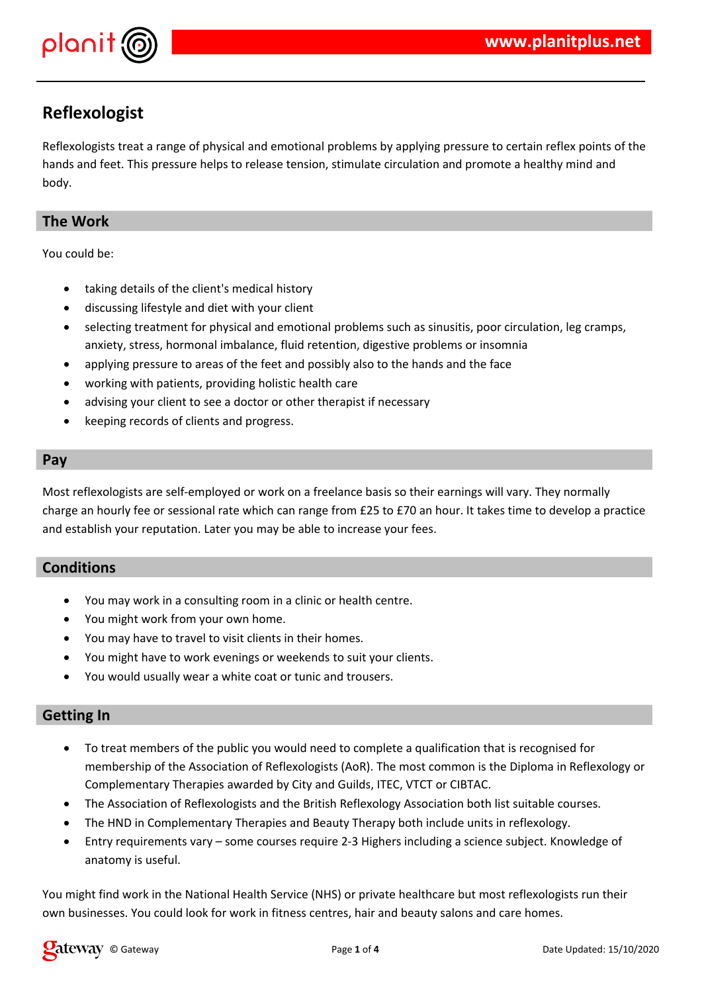

## **Reflexologist**

Reflexologists treat a range of physical and emotional problems by applying pressure to certain reflex points of the hands and feet. This pressure helps to release tension, stimulate circulation and promote a healthy mind and body.

## **The Work**

You could be:

- taking details of the client's medical history
- discussing lifestyle and diet with your client
- selecting treatment for physical and emotional problems such as sinusitis, poor circulation, leg cramps, anxiety, stress, hormonal imbalance, fluid retention, digestive problems or insomnia
- applying pressure to areas of the feet and possibly also to the hands and the face
- working with patients, providing holistic health care
- advising your client to see a doctor or other therapist if necessary
- keeping records of clients and progress.

#### **Pay**

Most reflexologists are self-employed or work on a freelance basis so their earnings will vary. They normally charge an hourly fee or sessional rate which can range from £25 to £70 an hour. It takes time to develop a practice and establish your reputation. Later you may be able to increase your fees.

## **Conditions**

- You may work in a consulting room in a clinic or health centre.
- You might work from your own home.
- You may have to travel to visit clients in their homes.
- You might have to work evenings or weekends to suit your clients.
- You would usually wear a white coat or tunic and trousers.

### **Getting In**

- To treat members of the public you would need to complete a qualification that is recognised for membership of the Association of Reflexologists (AoR). The most common is the Diploma in Reflexology or Complementary Therapies awarded by City and Guilds, ITEC, VTCT or CIBTAC.
- The Association of Reflexologists and the British Reflexology Association both list suitable courses.
- The HND in Complementary Therapies and Beauty Therapy both include units in reflexology.
- Entry requirements vary some courses require 2-3 Highers including a science subject. Knowledge of anatomy is useful.

You might find work in the National Health Service (NHS) or private healthcare but most reflexologists run their own businesses. You could look for work in fitness centres, hair and beauty salons and care homes.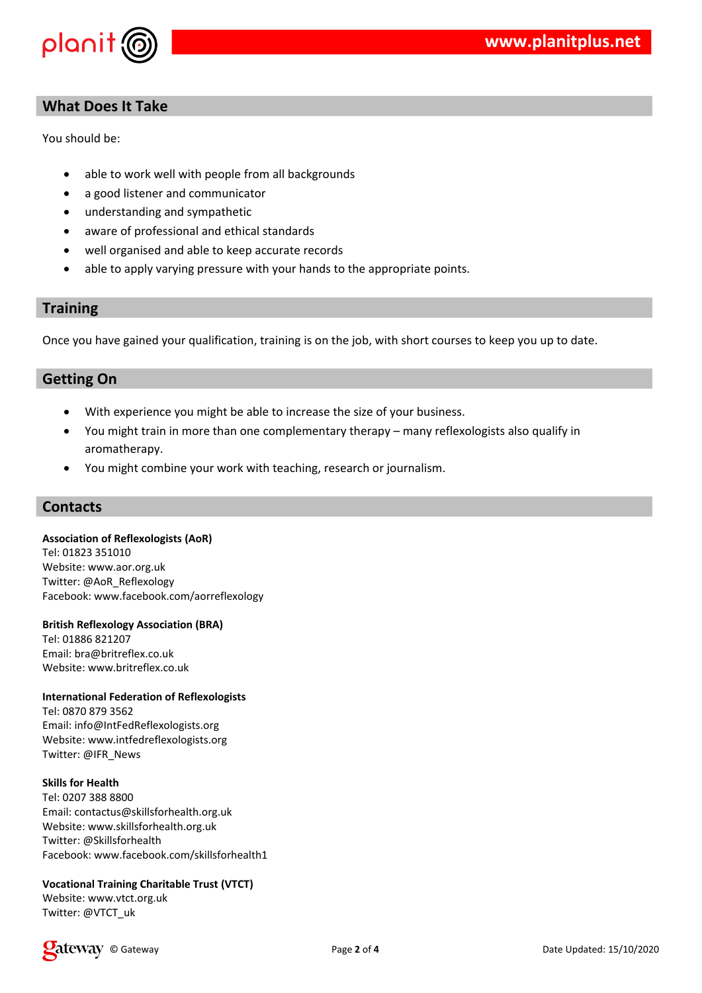

## **What Does It Take**

You should be:

- able to work well with people from all backgrounds
- a good listener and communicator
- understanding and sympathetic
- aware of professional and ethical standards
- well organised and able to keep accurate records
- able to apply varying pressure with your hands to the appropriate points.

#### **Training**

Once you have gained your qualification, training is on the job, with short courses to keep you up to date.

### **Getting On**

- With experience you might be able to increase the size of your business.
- You might train in more than one complementary therapy many reflexologists also qualify in aromatherapy.
- You might combine your work with teaching, research or journalism.

#### **Contacts**

#### **Association of Reflexologists (AoR)**

Tel: 01823 351010 Website: www.aor.org.uk Twitter: @AoR\_Reflexology Facebook: www.facebook.com/aorreflexology

#### **British Reflexology Association (BRA)**

Tel: 01886 821207 Email: bra@britreflex.co.uk Website: www.britreflex.co.uk

#### **International Federation of Reflexologists**

Tel: 0870 879 3562 Email: info@IntFedReflexologists.org Website: www.intfedreflexologists.org Twitter: @IFR\_News

#### **Skills for Health**

Tel: 0207 388 8800 Email: contactus@skillsforhealth.org.uk Website: www.skillsforhealth.org.uk Twitter: @Skillsforhealth Facebook: www.facebook.com/skillsforhealth1

#### **Vocational Training Charitable Trust (VTCT)**

Website: www.vtct.org.uk Twitter: @VTCT\_uk

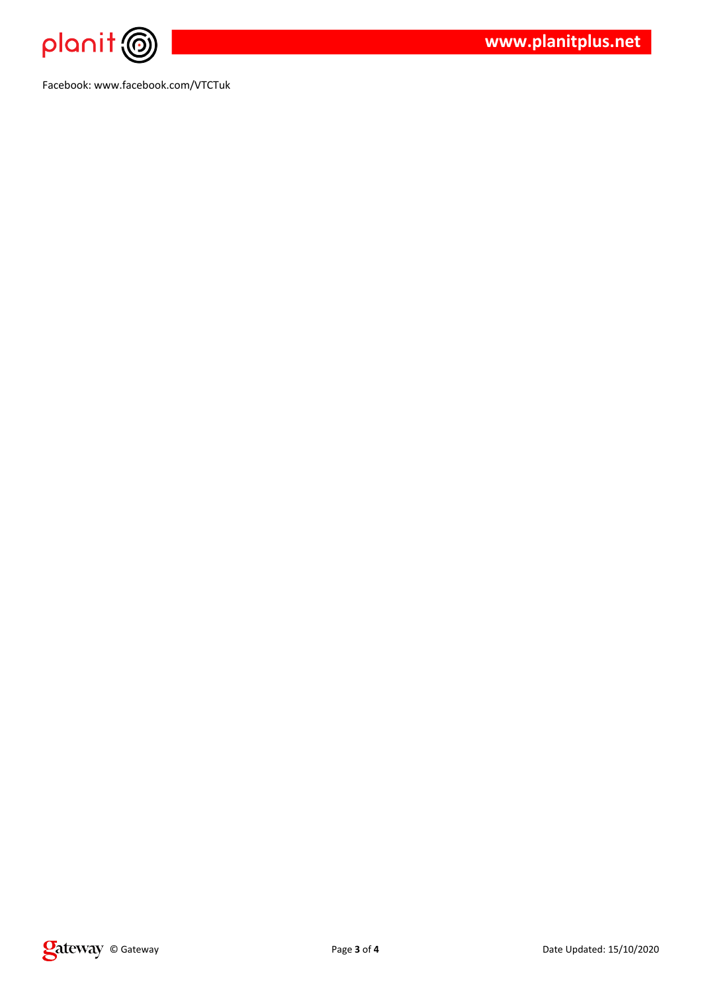

Facebook: www.facebook.com/VTCTuk